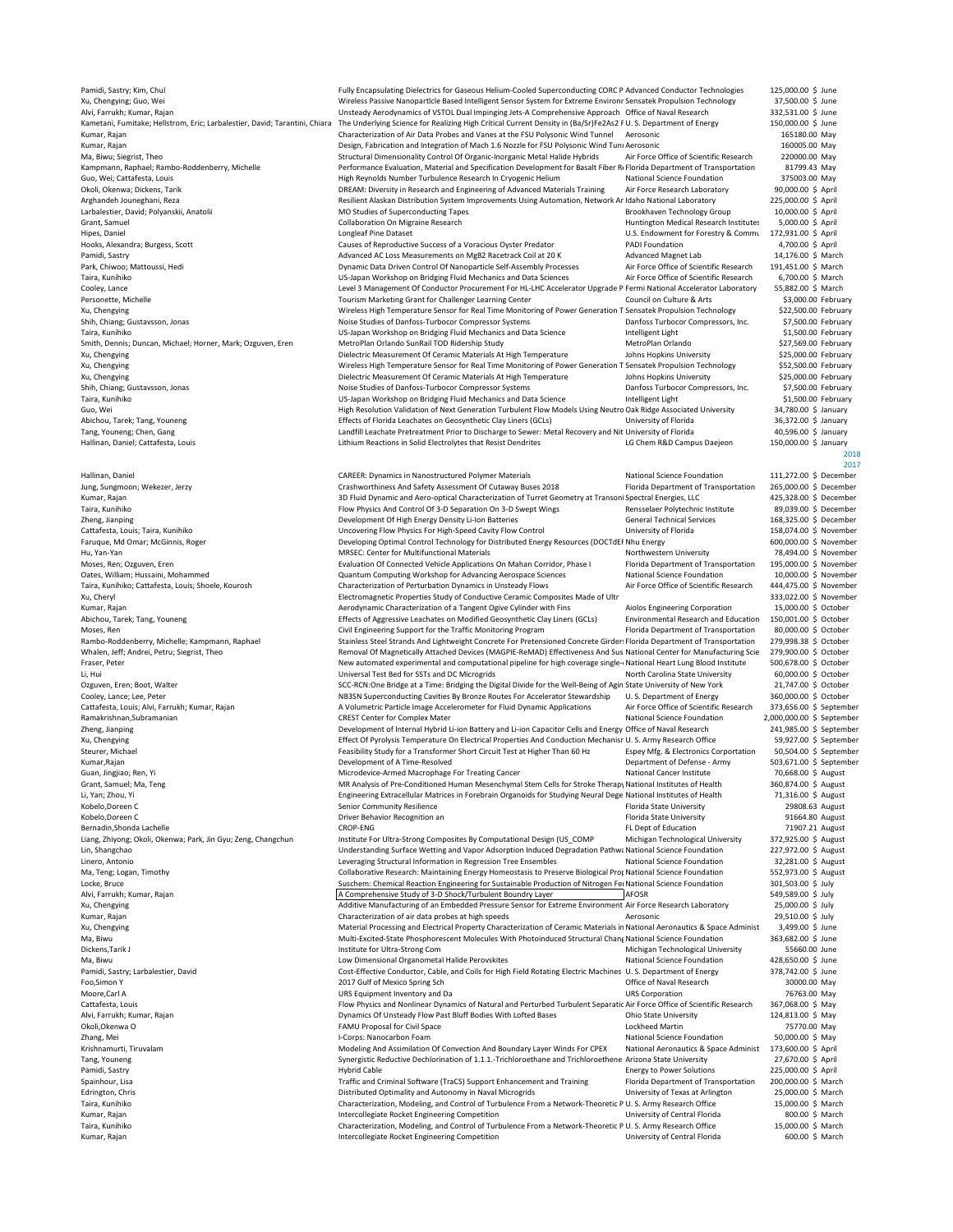Smith, Dennis; Duncan, Michael; Horner, Mark; Ozguven, Eren

Pamidi, Sastry; Kim, Chul Fully Encapsulating Dielectrics for Gaseous Helium-Cooled Superconducting CORC P Advanced Conductor Technologies 125,000.00 \$ June<br>20 Xu, Chengving; Guo, Wei Statter Advanced Corress of Manageart Wireless Passive Nanoparticle Based Intelligent Sensor System for Extreme Environr Sensatek Propulsion Technology 37,500.00 \$ June<br>Unsteady Aerodynamics of VSTOL Dual Impinging Jets-A Comprehensive Approach Office of Naval Alvi, Farrukh; Kumar, Rajan 132,531.00 \$ Unsteady Aerodynamics of VSTOL Dual Impinging Jets-A Comprehensive Approach Office of Naval Research 332,531.00 \$ June<br>Kametani, Fumitake; Hellstrom, Eric; Larbalestier, David; Tara The Underlying Science for Realizing High Critical Current Density in (Ba/Sr)Fe2As2 F U. S. Department of Energy 150,000.00 \$ June<br>Characterization of Air Data Probes and Vanes at the FSU Polysonic Wind Tunnel Aerosonic 16 Kumar, Rajan Characterization of Air Data Probes and Vanes at the FSU Polysonic Wind Tunnel Aerosonic Characterization of Air Data Probes and Vanes at the FSU Polysonic Wind Tunnel Aerosonic Characterization of May Design. Kumar, Rajan Design, Fabrication and Integration of Mach 1.6 Nozzle for FSU Polysonic Wind Tuni Aerosonic 160005.00 May<br>Ma, Biwu; Siegrist, Theo 220000.00 May Structural Dimensionality Control Of Organic-Inorganic Metal Ha Ma, Biwu; Siegrist, Theo Structural Dimensionality Control Of Organic-Inorganic Metal Halide Hybrids Air Force Office of Scientific Research 20000.00 May<br>Structural Dimensional Air Performance Evaluation, Material and Spec Kampmann, Raphael; Rambo-Roddenberry, Michelle Performance Evaluation, Material and Specification Development for Basalt Fiber Re Florida Department of Transportation 81799.43 May Guo, Wei; Cattafesta, Louis High Reynolds Number Turbulence Research In Cryogenic Helium National Science Foundation 375003.00 May Okoli, Okenwa; Dickens, Tarik 190,000.00 \$ April<br>DREAM: Diversity in Research and Engineering of Advanced Materials Training Air Force Research Laboratory 190,000.00 \$ April<br>Arghandeh Jouneghani, Reza 1925,000.00 \$ April Arghandeh Jouneghani, Reza 225,000.00 \$ April Resilient Alaskan Distribution System Improvements Using Automation, Network Ar Idaho National Laboratory 225,000.00 \$ April 225,000.00 \$ April 2012 20:00 \$ April Larbalestier. Larbalestier, David; Polyanskii, Anatolii anatolii anatolii MO Studies of Superconducting Tapes and the Superconducting Tapes Brookhaven Technology Group 10,000.00 \$ April (Grant, Samuel 10,000.00 \$ April Collaboration On Grant, Samuel Collaboration On Migraine Research Australian Collaboration On Migraine Research Australian Huntington Medical Research Institutes 5,000.00 \$ April<br>Primes, Daniel Huntington Medical Research Collaboration Col Hipes, Daniel Congleaf Pine Dataset Congleaf Pine Dataset U.S. Endowment for Forestry & Commu 172,931.00 \$ April<br>Hooks. Alexandra: Burgess. Scott Communicative Causes of Reproductive Success of a Voracious Oyster Predator Causes of Reproductive Success of a Voracious Oyster Predator **Fredator CAUSES** PROI Foundation **Causes of Alexandra;** A<br>Advanced AC Loss Measurements on MgB2 Racetrack Coil at 20 K Advanced Magnet Lab 14,176.00 \$ March Pamidi, Sastry 14,176.00 \$ March Advanced AC Loss Measurements on MgB2 Racetrack Coil at 20 K Advanced Magnet Lab 14,176.00 \$ March<br>Park, Chiwoo; Mattoussi, Hedi 191,451.00 \$ March 199,451.00 \$ March Dynamic Data Driven Co Dynamic Data Driven Control Of Nanoparticle Self-Assembly Processes Taira, Kunihiko Samus US-Japan Workshop on Bridging Fluid Mechanics and Data Sciences Air Force Office of Scientific Research 6,700.00 \$ March<br>Cooley, Lance Cooley and Data Science Air Force Office of Science and Data Scie Cooley, Lance Level 3 Management Of Conductor Procurement For HL-LHC Accelerator Upgrade P Fermi National Accelerator Laboratory 55,882.00 \$ March<br>County and Experiment For Hulley and Tourism Marketing Grant for Challenger Personette, Michelle Tourism Marketing Grant for Challenger Learning Center Council on Culture & Arts \$3,000.00 February<br>193,000.00 February Council on Culture & Arts \$3,000.00 February<br>1922,500.00 February \$22,500.00 Febr Xu, Chengying (Vireless High Temperature Sensor for Real Time Monitoring of Power Generation T Sensatek Propulsion Technology (\$22,500.00 February<br>Shih, Chiang; Gustavsson, Jonas (\$7,500.00 February Noise Studies of Danf Taira, Kunihiko US-Japan Workshop on Bridging Fluid Mechanics and Data Science Intelligent Light \$1,500.00 February<br>1,500.00 Smith, Dennis; Duncan, Michael; Homer, Mark; Ozguven, Eren MetroPlan Orlando SunRail TOD Ridershi Xu, Chengying Mullectric Measurement Of Ceramic Materials At High Temperature Johns Hopkins University \$25,000.00 February<br>25,500.00 February Wireless High Temperature Sensor for Real Time Monitoring of Power Generation T Xu, Chengying Mireless High Temperature Sensor for Real Time Monitoring of Power Generation T Sensatek Propulsion Technology \$52,500.00 February<br>Xu, Chengying Monitoring S25,000.00 February Dielectric Measurement Of Cerami Vielectric Measurement Of Ceramic Materials At High Temperature Johns Hopkins University \$25,000.00 February<br>Noise Studies of Danfoss-Turbocor Compressor Systems (Stems) Danfoss Turbocor Compressors. Inc. \$7,500.00 Februar Shih, Chiang; Gustavsson, Jonas Shih, Chiang; Gustavsson, Jonas Noise Studies of Danfoss-Turbocor Compressor Systems Danfoss Turbocor Compressors, Inc. \$7,500.00 February (St. 2000) February US-Japan Workshop on Bridging F Tair (1990) 19-10-100 meridiging Fluid Mechanics and Data Science Intelligent Light Suppose Concurse Concurse<br>High Resolution Validation of Next Generation Turbulent Flow Models Using Neutro Oak Ridge Associated University Guo, Wei (Guo, Wei High Resolution Validation of Next Generation Turbulent Flow Models Using Neutro Oak Ridge Associated University 34,000 \$ 14,80.00 \$ January 34,780.00 \$ January 34,780.00 \$ January 34,780.00 \$ January 34 Abichou, Tarek; Tang, Youneng en Sambley and the Effects of Florida Leachates on Geosynthetic Clay Liners (GCLs) University of Florida and the Sambley of Florida and Sambley of Florida and Sambley and Ditches and Tang, You Tang, Youneng; Chen, Gang Chen, Gang Landfill Leachate Pretreatment Prior to Discharge to Sewer: Metal Recovery and Nit University of Florida 40,596.00 \$ January<br>Hallinan, Daniel; Cattafesta, Louis 150,000.00 \$ January Lit Lithium Reactions in Solid Electrolytes that Resist Dendrites  $2018$ 2017<br>111.272.00 \$ December Hallinan, Daniel 111,272.00 \$ December CAREER: Dynamics in Nanostructured Polymer Materials National Science Foundation 111,272.00 \$ December<br>111,272.00 \$ December Crashworthiness And Safety Assessment Of Cutaway Buses 201 Crashworthiness And Safety Assessment Of Cutaway Buses 2018 Florida Department of Transportation 265,000.00 \$ December<br>3D Fluid Dynamic and Aero-optical Characterization of Turret Geometry at Transoni Spectral Energies, LL 3D Fluid Dynamic and Aero-optical Characterization of Turret Geometry at Transoni Spectral Energies, LLC Taira, Kunihiko Summan Band Control Of 3-D Separation On 3-D Swept Wings Summan Rensselaer Polytechnic Institute Summan Summan Summan Summan Summan Summan Summan Summan Summan Summan Summan Summan Summan Summan Summan Summ Development Of High Energy Density Li-Ion Batteries and Company of General Technical Services 168,325.00 \$ December<br>158,074.00 \$ University Of High Energy Analysis Company of High Chical Services 158,074.00 \$ November Cattafesta, Louis; Taira, Kunihiko Samus (Uncovering Flow Physics For High-Speed Cavity Flow Control University of Florida 158,074.00 \$ November Uncovering Flow Physics For High-Speed Cavity Flow Control University of Flor Faruque, Md Omar; McGinnis, Roger **Control Control Technology for Distributed Energy Resources (DOCTdEFNhu Energy**<br>Hu. Yan-Yan Mass and Developing Optimal Control Technology for Distributed Energy Resources (DOCTdEFNhu Ene Hu, Yan-Yan MRSEC: Center for Multifunctional Materials National Center of Multifunctional Materials Northwestern University 78,494.00 \$ November<br>Moses. Ren: Ozeuven. Eren 195.000.00 \$ November Centeral Vehicle Application Moses, Ren; Ozguven, Eren 195,000.00 \$ November Evaluation Of Connected Vehicle Applications On Mahan Corridor, Phase I Florida Department of Transportation 195,000.00 \$ November 2010 and Department of Transportation 195,0 Quantum Computing Workshop for Advancing Aerospace Sciences Taira, Kunihiko; Cattafesta, Louis; Shoele, Kourosh Characterization of Perturbation Dynamics in Unsteady Flows<br>233.022.00 \$ November Clectromagnetic Properties Study of Conductive Ceramic Composites Made of Ultr 333.02.00 Electromagnetic Properties Study of Conductive Ceramic Composites Made of Ultr (333,022.00 \$ Novembered and Co<br>Aerodynamic Characterization of a Tangent Ogive Cylinder with Fins (313,000.00 \$ 200000 \$ 0ctober Kumar, Rajan Merodynamic Characterization of a Tangent Ogive Cylinder with Fins Aiolos Engineering Corporation 15,000.00 \$ October<br>Abichou, Tarek; Tang, Youneng 150,001.00 \$ October Effects of Aggressive Leachates on Modif Effects of Aggressive Leachates on Modified Geosynthetic Clay Liners (GCLs) Moses, Ren Florida Department of Transportation and Civil Engineering Support for the Traffic Monitoring Program<br>19998.38 \$ October Stainless Steel Strands And Lightweight Concrete For Pretensioned Concrete Girder: Florida Nambo-Roddenberry, Michelle; Kampmann, Raphael Stainless Steel Strands And Lightweight Concrete For Pretensioned Concrete Girder: Florida Department of Transportation 279,998.38 \$ October Stainless Steel Strands And Lightw Whalen, Jeff; Andrei, Petru; Siegrist, Theo Removal Of Magnetically Attached Devices (MAGPIE-ReMAD) Effectiveness And Sus National Center for Manufacturing Scie 279,900.00 \$ October Removal Of Magnetically Attached Devices Fraser, Peter **Frager Computational and computational pipeline for high coverage single-viational Heart Lung Blood Institute 500,678.00 \$ October<br>I.i. Hui Computational Deart Deart Actober Luniversal Test Bed for SSTs and** Li, Hui North Carolina State Universal Test Bed for SSTs and DC Microgrids North Carolina State University 60,000.00 \$ October<br>21,747.00 \$ October SCC-RCN:One Bridge at a Time: Bridging the Digital Divide for the Well-Bein SCC-RCN:One Bridge at a Time: Bridging the Digital Divide for the Well-Being of Agin State University of New York Cooley, Lance; Lee, Peter 360,000.00 \$ October NB3SN Superconducting Cavities By Bronze Routes For Accelerator Stewardship U. S. Department of Energy 360,000.00 \$ October (2010). Cattafesta, Louis; Alvi, Farrukh; Kumar, Ra Cattafesta, Louis; Alvi, Farrukh; Kumar, Rajan A Volumetric Particle Image Accelerometer for Fluid Dynamic Applications Air Force Office of Scientific Research 373,656.00 \$ September<br>Ramakrishnan,Subramanian And Along Dept Ramakrishnan,Subramanian CREST Center for Complex Mater National Science Foundation 2,000,000.00 \$ September Zheng, Jianping Development of Internal Hybrid Li-ion Battery and Li-ion Capacitor Cells and Energy Office of Naval Research 241,985.00 \$ September Xu, Chengying Superature On Effect Of Pyrolysis Temperature On Electrical Properties And Conduction Mechanisr U. S. Army Research Office 59,927.00 \$ September<br>Steurer, Michael Superature 19,504.00 \$ September<br>Feasibility S Steurer, Michael Feasibility Study for a Transformer Short Circuit Test at Higher Than 60 Hz Espey Mfg. & Electronics Corportation 50,504.00 \$ September Feasibility Study for a Transformer Short Circuit Test at Higher Than Kumar,Rajan Cumar,Rajan Development of A Time-Resolved Development of A Time-Resolved Department of Defense - Army 503,671.00 \$ Septem<br>Guan, Jingjiao; Ren, Yi September 200,668.00 \$ August Antional Cancer Mational Cancer I Guan, Jingjiao; Ren, Yi Microdevice-Armed Macrophage For Treating Cancer National Cancer Institute 70,668.00 \$ August<br>Grant, Samuel; Ma, Teng 360,874.00 \$ August MR Analysis of Pre-Conditioned Human Mesenchymal Stem Cells Grant, Samuel; Ma, Teng 1960,874.00 \$ August MR Analysis of Pre-Conditioned Human Mesenchymal Stem Cells for Stroke Therapy National Institutes of Health 360,874.00 \$ August<br>Li, Yan; Zhou, Yi 11, 216.00 \$ August 1, 21,316. Engineering Extracellular Matrices in Forebrain Organoids for Studying Neural Dege National Institutes of Health Europhy Cobelo,Doreen C Senior Community Resilience Community Resilience Community Resilience Community Resilience<br>State University Florida State University 2016 1980 August 2016 2016<br>Florida State University 2016 2016 201 Kobelo,Doreen C 201664.80 August Chrome Driver Behavior Recognition an Florida State University and Multiple 1<br>1997.21 August CROP-ENG CROP-ENG CROP-ENG FLORID BEHavior Recognition and FLORID BEN Dept of Education Bernadin,Shonda Lachelle 2002.21 August 2012 CROP-ENG CROP-ENG FL Dept of Education 71907.21 August Liang, Zhiyong; Okoli, Okenwa; Park, Jin Gyu; Zeng, Changchun Institute For Ultra-Strong Composites By Computational Design (US\_COMP Michigan Technological University 372,925.00 \$ August<br>Lin, Shangchao 227,972.00 \$ August Lin, Shangchao **1986 March 2002 Conduct Additionary Conduct** Understanding Surface Wetting and Vapor Adsorption Induced Degradation Pathwa National Science Foundation 227,972.00 \$ August<br>Linero, Antonio 22,281.00 \$ August Linero, Antonio Computer and Computer and The University of the University of the University Pression Tree Ensembles National Science Foundation 32,281.00 \$ August 2015 (1991) August 2016 (1991) Collaborative Research: Mai Collaborative Research: Maintaining Energy Homeostasis to Preserve Biological Prop National Science Foundation 552,973.00 \$ August Science Foundation 552,973.00 \$ August Sustaining Energy Homeostasis to Preserve Foundation Locke, Bruce Chemical Reaction Engineering for Sustainable Production of Nitrogen Fer National Science Foundation 301,503.00 \$ July<br>A Comprehensive Study of 3-D Shock/Turbulent Boundry Layer AFOSR AFOSR 549,589.00 \$ July A Comprehensive Study of 3-D Shock/Turbulent Boundry Layer **A LAGA A COMPT A COMPRENT A COMPRENT A COMPRENT A COM**<br>Additive Manufacturing of an Embedded Pressure Sensor for Extreme Environment Air Force Research Laboratory Xu, Chengying Multime Manufacturing of an Embedded Pressure Sensor for Extreme Environment Air Force Research Laboratory 25,000.00 \$ July 19,510.00 \$ July Characterization of air data probes at high speeds Accosonic Aeroso Kumar, Rajan Characterization of air data probes at high speeds Aerosonic Merosonic 29,510.00 \$ July<br>29,510.00 \$ Material Processing and Electrical Property Characterization of Ceramic Materials in National Aeronautics & S Xu, Chengying States and Electrical Processing and Electrical Property Characterization of Ceramic Materials in National Aeronautics & Space Administ 3,499.00 \$ June<br>Multi-Excited-State Phosphorescent Molecules With Photoi Ma, Biwu Multi-Excited-State Phosphorescent Molecules With Photoinduced Structural Chang National Science Foundation 363,682.00 \$ June<br>Dickens,Tarik J S5660.00 363,682.00 \$ Institute for Ultra-Strong Com Molecules With Pho Michigan Technological University<br>
National Science Foundation 428,650.00 \$ June Ma, Biwu Low Dimensional Organometal Halide Perovskites National Science Foundation and A28,650.00 \$ June<br>Pamidi. Sastry: Larbalestier. David Cost Alice Conductor. Cable. and Coils for High Field Rotating Electric Machines Pamidicative Conductor, Cable, and Coils for High Field Rotating Electric Machines U. S. Department of Energy 378,742.00 \$ June<br>2017 Gulf of Mexico Spring Sch design and Coils for High Field Rotating Electric Machines U. S Poo,Simon Y November 2017 Gulf of Mexico Spring Sch Chrome Control of Mexico Spring Sch Office of Naval Research 20000.00 May 16763.00 May 16763.00 May 16763.00 May 168 Corporation Chrome 2017 16763.00 May 168 Corporation VRS Equipment Inventory and Da Variation URS Corporation Community 16763.00 May<br>Flow Physics and Nonlinear Dynamics of Natural and Perturbed Turbulent Senaratic Air Force Office of Scientific Research 367.068.00 \$ May Cattafesta, Louis Flow Physics and Nonlinear Dynamics of Natural and Perturbed Turbulent Separatic Air Force Office of Scientific Research 367,068.00 \$ May<br>Alvi, Farrukh; Kumar, Rajan 124,813.00 \$ May Alvi, Farrukh; Kumar, Rajan 124,813.00 \$ May Past Bluff Bodies With Lofted Bases Chio State University 124,813.00 \$ May Past Bluff Bodies With Lofted Bases Chio State University 124,813.00 \$ May Past Bluff Bodies With Loft Okoli,Okenwa O FAMU Proposal for Civil Space Control of Civil Space Control Control Control of Civil Space Control Control Control of The Control of Topolo May a FAMU Proposal for Civil Space Control Control Control of May Zhang, Mei 1990 Mei 1990,000.00 \$ 1400 Medeling And Assimilation Of Convection And Boundary Layer Winds For CPEX National Science Foundation 50,000.00 \$ May<br>Krishnamurti, Tiruvalam 173,600.00 \$ April Medeling And Assimilat Krishnamurti, Tiruvalam Modeling And Assimilation Of Convection And Boundary Layer Winds For CPEX National Aeronautics & Space Administ 173,600.00 \$ April<br>1999- Space Administ 173,600.00 \$ April Space Space Space Space Spa Tang, Youneng Synergistic Reductive Dechlorination of 1.1.1.-Trichloroethane and Trichloroethene Arizona State University 27,670.00 \$ April<br>Pamidi. Sastry 225.000.00 \$ April Pamidi, Cable Energy to Power Solutions 225,000 \$ April 225,000 \$ April 225,000 \$ April 225,000 \$ April 225,000 \$ April 225,000 \$ April 225,000 \$ April 225,000 \$ April 225,000 \$ April 225,000 \$ April 225,000 \$ April 225,00 Spainhour, Lisa Spainhour, Lisa Traffic and Criminal Software (TraCS) Support Enhancement and Training Florida Department of Transportation 200,000.00 \$ March<br>Sixtributed Optimality and Autonomy in Naval Microgrids Univers Edrington, Chris **Edrington, Chris Distributed Optimality and Autonomy in Naval Microgrids** University of Texas at Arlington 25,000.00 \$ March<br>Taira. Kunihiko 15,000.00 \$ March Characterization. Modeling, and Control of Tu Characterization, Modeling, and Control of Turbulence From a Network-Theoretic P U. S. Army Research Office 15<br>University of Central Florida Kumar, Rajan Sumar, Rajan Intercollegiate Rocket Engineering Competition University of Central Florida 1900.00 \$ March<br>Characterization, Modeling, and Control of Turbulence From a Network-Theoretic PU. S. Army Research Off Taira, Kunihiko Characterization, Modeling, and Control of Turbulence From a Network-Theoretic P U. S. Army Research Office 15,000.00 \$ March Characterization, Modeling, and Control of Turbulence From a Network-Theoretic P Intercollegiate Rocket Engineering Competition